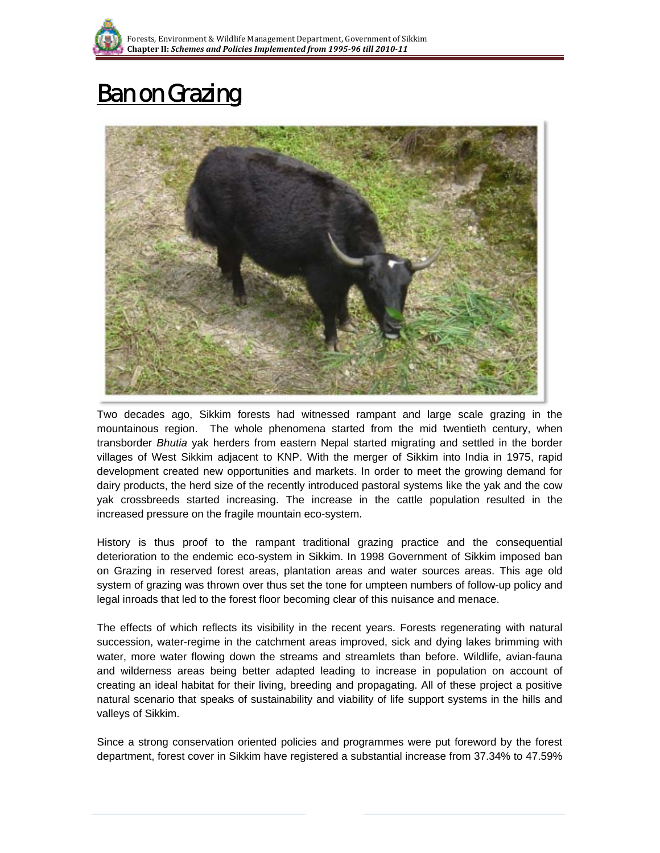

## Ban on Grazing



Two decades ago, Sikkim forests had witnessed rampant and large scale grazing in the mountainous region. The whole phenomena started from the mid twentieth century, when transborder *Bhutia* yak herders from eastern Nepal started migrating and settled in the border villages of West Sikkim adjacent to KNP. With the merger of Sikkim into India in 1975, rapid development created new opportunities and markets. In order to meet the growing demand for dairy products, the herd size of the recently introduced pastoral systems like the yak and the cow yak crossbreeds started increasing. The increase in the cattle population resulted in the increased pressure on the fragile mountain eco-system.

History is thus proof to the rampant traditional grazing practice and the consequential deterioration to the endemic eco-system in Sikkim. In 1998 Government of Sikkim imposed ban on Grazing in reserved forest areas, plantation areas and water sources areas. This age old system of grazing was thrown over thus set the tone for umpteen numbers of follow-up policy and legal inroads that led to the forest floor becoming clear of this nuisance and menace.

The effects of which reflects its visibility in the recent years. Forests regenerating with natural succession, water-regime in the catchment areas improved, sick and dying lakes brimming with water, more water flowing down the streams and streamlets than before. Wildlife, avian-fauna and wilderness areas being better adapted leading to increase in population on account of creating an ideal habitat for their living, breeding and propagating. All of these project a positive natural scenario that speaks of sustainability and viability of life support systems in the hills and valleys of Sikkim.

Since a strong conservation oriented policies and programmes were put foreword by the forest department, forest cover in Sikkim have registered a substantial increase from 37.34% to 47.59%